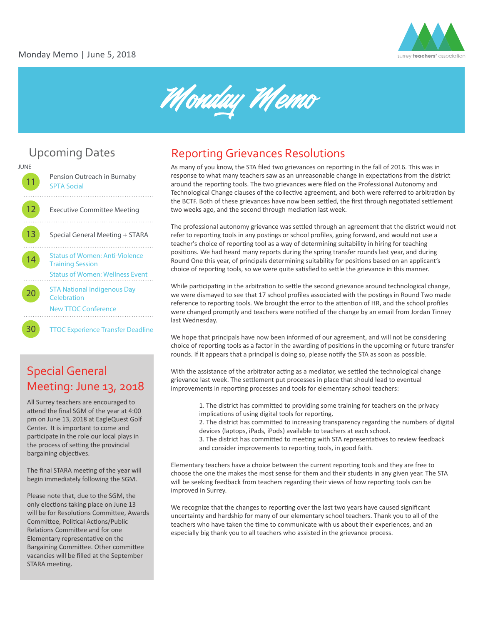



#### **JUNE** Pension Outreach in Burnaby [SPTA Social](http://spta36.weebly.com/kick-off-to-summer-social.html)  . . . . . . . . 12 Executive Committee Meeting . . . . . . . . .

13 Special General Meeting + STARA 

[Status of Women: Anti-Violence](https://antiviolencetraining-june2018.eventbrite.ca)  **14 Training Session** [Status of Women: Wellness Event](https://wellnessevent-june2018.eventbrite.ca)

20 [STA National Indigenous Day](https://nationalindigenousday-june2018.eventbrite.ca)  **Celebration** New TTOC [Conference](https://newttocsconference-june2018.eventbrite.ca)

**30** [TTOC Experience Transfer Deadline](http://www.surreyteachers.org/documents/Forms/TTOCTransferRequestForm-June.pdf)

## Special General Meeting: June 13, 2018

All Surrey teachers are encouraged to attend the final SGM of the year at 4:00 pm on June 13, 2018 at EagleQuest Golf Center. It is important to come and participate in the role our local plays in the process of setting the provincial bargaining objectives.

The final STARA meeting of the year will begin immediately following the SGM.

Please note that, due to the SGM, the only elections taking place on June 13 will be for Resolutions Committee, Awards Committee, Political Actions/Public Relations Committee and for one Elementary representative on the Bargaining Committee. Other committee vacancies will be filled at the September STARA meeting.

# Upcoming Dates Reporting Grievances Resolutions

As many of you know, the STA filed two grievances on reporting in the fall of 2016. This was in response to what many teachers saw as an unreasonable change in expectations from the district around the reporting tools. The two grievances were filed on the Professional Autonomy and Technological Change clauses of the collective agreement, and both were referred to arbitration by the BCTF. Both of these grievances have now been settled, the first through negotiated settlement two weeks ago, and the second through mediation last week.

The professional autonomy grievance was settled through an agreement that the district would not refer to reporting tools in any postings or school profiles, going forward, and would not use a teacher's choice of reporting tool as a way of determining suitability in hiring for teaching positions. We had heard many reports during the spring transfer rounds last year, and during Round One this year, of principals determining suitability for positions based on an applicant's choice of reporting tools, so we were quite satisfied to settle the grievance in this manner.

While participating in the arbitration to settle the second grievance around technological change, we were dismayed to see that 17 school profiles associated with the postings in Round Two made reference to reporting tools. We brought the error to the attention of HR, and the school profiles were changed promptly and teachers were notified of the change by an email from Jordan Tinney last Wednesday.

We hope that principals have now been informed of our agreement, and will not be considering choice of reporting tools as a factor in the awarding of positions in the upcoming or future transfer rounds. If it appears that a principal is doing so, please notify the STA as soon as possible.

With the assistance of the arbitrator acting as a mediator, we settled the technological change grievance last week. The settlement put processes in place that should lead to eventual improvements in reporting processes and tools for elementary school teachers:

> 1. The district has commi�ed to providing some training for teachers on the privacy implications of using digital tools for reporting.

2. The district has committed to increasing transparency regarding the numbers of digital devices (laptops, iPads, iPods) available to teachers at each school.

3. The district has committed to meeting with STA representatives to review feedback and consider improvements to reporting tools, in good faith.

Elementary teachers have a choice between the current repor�ng tools and they are free to choose the one the makes the most sense for them and their students in any given year. The STA will be seeking feedback from teachers regarding their views of how reporting tools can be improved in Surrey.

We recognize that the changes to reporting over the last two years have caused significant uncertainty and hardship for many of our elementary school teachers. Thank you to all of the teachers who have taken the time to communicate with us about their experiences, and an especially big thank you to all teachers who assisted in the grievance process.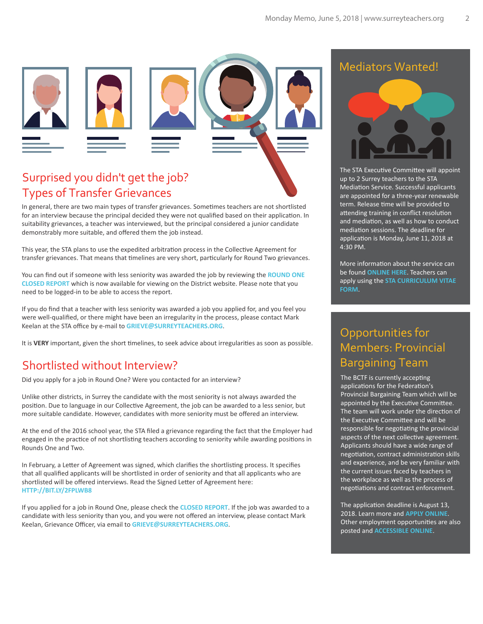

## Surprised you didn't get the job? Types of Transfer Grievances

In general, there are two main types of transfer grievances. Sometimes teachers are not shortlisted for an interview because the principal decided they were not qualified based on their application. In suitability grievances, a teacher was interviewed, but the principal considered a junior candidate demonstrably more suitable, and offered them the job instead.

This year, the STA plans to use the expedited arbitration process in the Collective Agreement for transfer grievances. That means that timelines are very short, particularly for Round Two grievances.

You can find out if someone with less seniority was awarded the job by reviewing the **[ROUND ONE](https://www.surreyschools.ca/departments/HRES/Teachers/TransferInformation/Documents/2018-19%20Closed%20Report%20-%20Round%201.pdf)  [CLOSED REPORT](https://www.surreyschools.ca/departments/HRES/Teachers/TransferInformation/Documents/2018-19%20Closed%20Report%20-%20Round%201.pdf)** which is now available for viewing on the District website. Please note that you need to be logged-in to be able to access the report.

If you do find that a teacher with less seniority was awarded a job you applied for, and you feel you were well-qualified, or there might have been an irregularity in the process, please contact Mark Keelan at the STA office by e-mail to **GRIEVE@SURREYTEACHERS.ORG**.

It is VERY important, given the short timelines, to seek advice about irregularities as soon as possible.

#### Shortlisted without Interview?

Did you apply for a job in Round One? Were you contacted for an interview?

Unlike other districts, in Surrey the candidate with the most seniority is not always awarded the position. Due to language in our Collective Agreement, the job can be awarded to a less senior, but more suitable candidate. However, candidates with more seniority must be offered an interview.

At the end of the 2016 school year, the STA filed a grievance regarding the fact that the Employer had engaged in the practice of not shortlisting teachers according to seniority while awarding positions in Rounds One and Two.

In February, a Letter of Agreement was signed, which clarifies the shortlisting process. It specifies that all qualified applicants will be shortlisted in order of seniority and that all applicants who are shortlisted will be offered interviews. Read the Signed Letter of Agreement here: **[HTTP://BIT.LY/2FPLWB8](http://bit.ly/2FPlwB8)**

If you applied for a job in Round One, please check the **[CLOSED REPORT](https://www.surreyschools.ca/departments/HRES/Teachers/TransferInformation/Documents/2018-19%20Closed%20Report%20-%20Round%201.pdf)**. If the job was awarded to a candidate with less seniority than you, and you were not offered an interview, please contact Mark Keelan, Grievance Officer, via email to **GRIEVE@SURREYTEACHERS.ORG**.

#### Mediators Wanted!



The STA Executive Committee will appoint up to 2 Surrey teachers to the STA Mediation Service. Successful applicants are appointed for a three-year renewable term. Release time will be provided to attending training in conflict resolution and mediation, as well as how to conduct mediation sessions. The deadline for application is Monday, June 11, 2018 at 4:30 PM.

More information about the service can be found **[ONLINE HERE](http://www.surreyteachers.org/sta-mediation-service/)**. Teachers can apply using the **[STA CURRICULUM VITAE](http://www.surreyteachers.org/documents/Forms/STA_CMT_CV_Form.pdf)  [FORM](http://www.surreyteachers.org/documents/Forms/STA_CMT_CV_Form.pdf)**.

# Opportunities for Members: Provincial Bargaining Team

The BCTF is currently accepting applications for the Federation's Provincial Bargaining Team which will be appointed by the Executive Committee. The team will work under the direction of the Executive Committee and will be responsible for negotiating the provincial aspects of the next collective agreement. Applicants should have a wide range of negotiation, contract administration skills and experience, and be very familiar with the current issues faced by teachers in the workplace as well as the process of negotiations and contract enforcement.

The application deadline is August 13, 2018. Learn more and **[APPLY ONLINE](http://www.bctf.ca/opportunities/BCTFCommittees.aspx)**. Other employment opportunities are also posted and **[ACCESSIBLE ONLINE](http://www.bctf.ca/AboutUs/EmploymentOpportunities.aspx)**.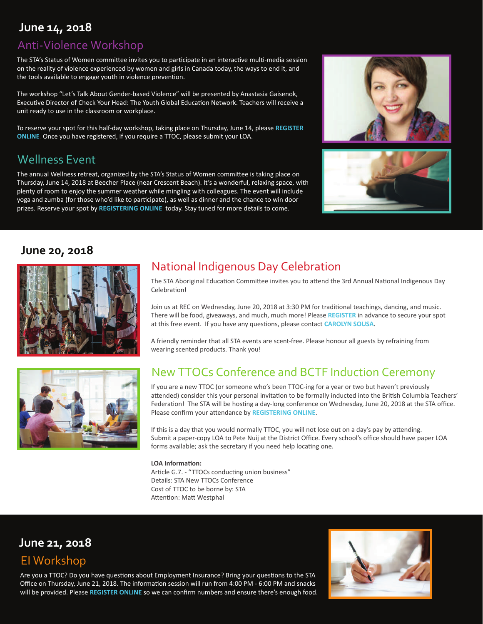## **June 14, 2018**

### Anti-Violence Workshop

The STA's Status of Women committee invites you to participate in an interactive multi-media session on the reality of violence experienced by women and girls in Canada today, the ways to end it, and the tools available to engage youth in violence prevention.

The workshop "Let's Talk About Gender-based Violence" will be presented by Anastasia Gaisenok, Executive Director of Check Your Head: The Youth Global Education Network. Teachers will receive a unit ready to use in the classroom or workplace.

To reserve your spot for this half-day workshop, taking place on Thursday, June 14, please **[REGISTER](https://antiviolencetraining-june2018.eventbrite.ca)  [ONLINE](https://antiviolencetraining-june2018.eventbrite.ca)**. Once you have registered, if you require a TTOC, please submit your LOA.

## Wellness Event

The annual Wellness retreat, organized by the STA's Status of Women commi�ee is taking place on Thursday, June 14, 2018 at Beecher Place (near Crescent Beach). It's a wonderful, relaxing space, with plenty of room to enjoy the summer weather while mingling with colleagues. The event will include yoga and zumba (for those who'd like to participate), as well as dinner and the chance to win door prizes. Reserve your spot by **[REGISTERING ONLINE](https://wellnessevent-june2018.eventbrite.ca)** today. Stay tuned for more details to come.



#### **June 20, 2018**





# National Indigenous Day Celebration

The STA Aboriginal Education Committee invites you to attend the 3rd Annual National Indigenous Day Celebration!

Join us at REC on Wednesday, June 20, 2018 at 3:30 PM for traditional teachings, dancing, and music. There will be food, giveaways, and much, much more! Please **[REGISTER](https://nationalindigenousday-june2018.eventbrite.ca)** in advance to secure your spot at this free event. If you have any questions, please contact **[CAROLYN SOUSA](mailto:sousa_c@surreyschools.ca)**.

A friendly reminder that all STA events are scent-free. Please honour all guests by refraining from wearing scented products. Thank you!

## New TTOCs Conference and BCTF Induction Ceremony

If you are a new TTOC (or someone who's been TTOC-ing for a year or two but haven't previously attended) consider this your personal invitation to be formally inducted into the British Columbia Teachers' Federation! The STA will be hosting a day-long conference on Wednesday, June 20, 2018 at the STA office. Please confirm your a�endance by **[REGISTERING ONLINE](https://newttocsconference-june2018.eventbrite.ca)**.

If this is a day that you would normally TTOC, you will not lose out on a day's pay by attending. Submit a paper-copy LOA to Pete Nuij at the District Office. Every school's office should have paper LOA forms available; ask the secretary if you need help locating one.

#### **LOA Information:**

Article G.7. - "TTOCs conducting union business" Details: STA New TTOCs Conference Cost of TTOC to be borne by: STA Attention: Matt Westphal

## **June 21, 2018**

## EI Workshop

Are you a TTOC? Do you have questions about Employment Insurance? Bring your questions to the STA Office on Thursday, June 21, 2018. The information session will run from 4:00 PM - 6:00 PM and snacks will be provided. Please **[REGISTER ONLINE](https://eiworkshop-june2018.eventbrite.ca)** so we can confirm numbers and ensure there's enough food.